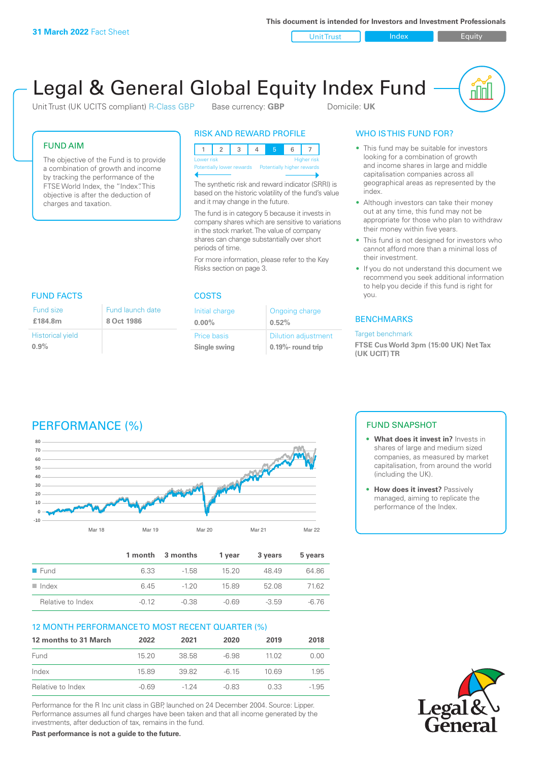**This document is intended for Investors and Investment Professionals**

Unit Trust Index I Equity

# Legal & General Global Equity Index Fund

Unit Trust (UK UCITS compliant) R-Class GBP Base currency: **GBP** Domicile: UK

#### FUND AIM

The objective of the Fund is to provide a combination of growth and income by tracking the performance of the FTSE World Index, the "Index". This objective is after the deduction of charges and taxation.

**8 Oct 1986**

#### RISK AND REWARD PROFILE

| Lower risk                                           |  |  |  | <b>Higher risk</b> |
|------------------------------------------------------|--|--|--|--------------------|
| Potentially lower rewards Potentially higher rewards |  |  |  |                    |
|                                                      |  |  |  |                    |

The synthetic risk and reward indicator (SRRI) is based on the historic volatility of the fund's value and it may change in the future.

The fund is in category 5 because it invests in company shares which are sensitive to variations in the stock market. The value of company shares can change substantially over short periods of time.

For more information, please refer to the Key Risks section on page 3.

#### FUND FACTS COSTS Fund launch date Fund size

|                         | .     |
|-------------------------|-------|
| £184.8m                 | 8 Oct |
| <b>Historical yield</b> |       |
| 0.9%                    |       |

| Initial charge | Ongoing charge             |
|----------------|----------------------------|
| $0.00\%$       | 0.52%                      |
| Price basis    | <b>Dilution adjustment</b> |
| Single swing   | $0.19\%$ - round trip      |

### WHO IS THIS FUND FOR?

- This fund may be suitable for investors looking for a combination of growth and income shares in large and middle capitalisation companies across all geographical areas as represented by the index.
- Although investors can take their money out at any time, this fund may not be appropriate for those who plan to withdraw their money within five years.
- This fund is not designed for investors who cannot afford more than a minimal loss of their investment.
- If you do not understand this document we recommend you seek additional information to help you decide if this fund is right for you.

#### **BENCHMARKS**

#### Target benchmark

**FTSE Cus World 3pm (15:00 UK) Net Tax (UK UCIT) TR**

# PERFORMANCE (%)



|                      |         | 1 month 3 months | 1 vear  | 3 years | 5 years |
|----------------------|---------|------------------|---------|---------|---------|
| $\blacksquare$ Fund  | 6.33    | $-1.58$          | 1520    | 48.49   | 64.86   |
| $\blacksquare$ Index | 6.45    | $-120$           | 1589    | 52.08   | 71.62   |
| Relative to Index    | $-0.12$ | $-0.38$          | $-0.69$ | $-3.59$ | $-6,76$ |

#### 12 MONTH PERFORMANCE TO MOST RECENT QUARTER (%)

| 12 months to 31 March | 2022  | 2021   | 2020    | 2019  | 2018    |
|-----------------------|-------|--------|---------|-------|---------|
| Fund                  | 1520  | 38.58  | -6.98   | 11 02 | 0.00    |
| Index                 | 15.89 | 39.82  | -6.15   | 10.69 | 1.95    |
| Relative to Index     | -0.69 | $-124$ | $-0.83$ | 0.33  | $-1.95$ |

Performance for the R Inc unit class in GBP, launched on 24 December 2004. Source: Lipper. Performance assumes all fund charges have been taken and that all income generated by the investments, after deduction of tax, remains in the fund.

**Past performance is not a guide to the future.**

### FUND SNAPSHOT

- **• What does it invest in?** Invests in shares of large and medium sized companies, as measured by market capitalisation, from around the world (including the UK).
- **• How does it invest?** Passively managed, aiming to replicate the performance of the Index.

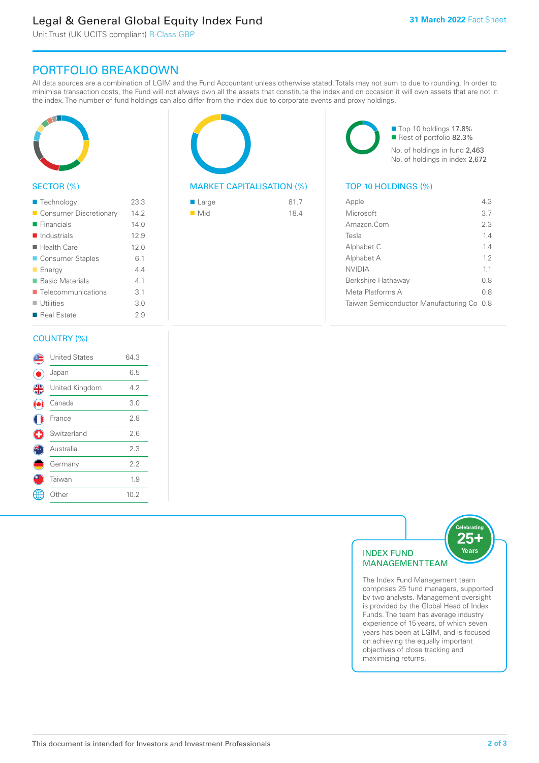# Legal & General Global Equity Index Fund

Unit Trust (UK UCITS compliant) R-Class GBP

## PORTFOLIO BREAKDOWN

All data sources are a combination of LGIM and the Fund Accountant unless otherwise stated. Totals may not sum to due to rounding. In order to minimise transaction costs, the Fund will not always own all the assets that constitute the index and on occasion it will own assets that are not in the index. The number of fund holdings can also differ from the index due to corporate events and proxy holdings.



#### SECTOR (%)

| ■ Technology               | 23.3 |
|----------------------------|------|
| Consumer Discretionary     | 14.2 |
| $\blacksquare$ Financials  | 140  |
| $\blacksquare$ Industrials | 12.9 |
| $\blacksquare$ Health Care | 12.0 |
| ■ Consumer Staples         | 6.1  |
| <b>Energy</b>              | 44   |
| <b>Basic Materials</b>     | 4.1  |
| ■ Telecommunications       | 3.1  |
| $\blacksquare$ Utilities   | 3.0  |
| ■ Real Estate              | 2.9  |
|                            |      |

#### COUNTRY (%)

|   | <b>United States</b> | 64.3 |  |
|---|----------------------|------|--|
|   | Japan                | 6.5  |  |
| 4 | United Kingdom       | 4.2  |  |
|   | Canada               | 3.0  |  |
|   | France               | 2.8  |  |
| Œ | Switzerland          | 2.6  |  |
|   | Australia            | 2.3  |  |
|   | Germany              | 2.2  |  |
|   | Taiwan               | 1.9  |  |
|   | : Other              | 10.2 |  |
|   |                      |      |  |

#### MARKET CAPITALISATION (%) TOP 10 HOLDINGS (%)

| $\blacksquare$ Large | 81.7 |
|----------------------|------|
| $\blacksquare$ Mid   | 18.4 |

■ Top 10 holdings 17.8% Rest of portfolio 82.3% No. of holdings in fund 2,463 No. of holdings in index 2,672

| Apple                                     | 43  |
|-------------------------------------------|-----|
| Microsoft                                 | 3.7 |
| Amazon.Com                                | 2.3 |
| Tesla                                     | 14  |
| Alphabet C                                | 14  |
| Alphabet A                                | 12  |
| <b>NVIDIA</b>                             | 11  |
| Berkshire Hathaway                        | 0 S |
| Meta Platforms A                          | 0.8 |
| Taiwan Semiconductor Manufacturing Co 0.8 |     |
|                                           |     |



The Index Fund Management team comprises 25 fund managers, supported by two analysts. Management oversight is provided by the Global Head of Index Funds. The team has average industry experience of 15 years, of which seven years has been at LGIM, and is focused on achieving the equally important objectives of close tracking and maximising returns.